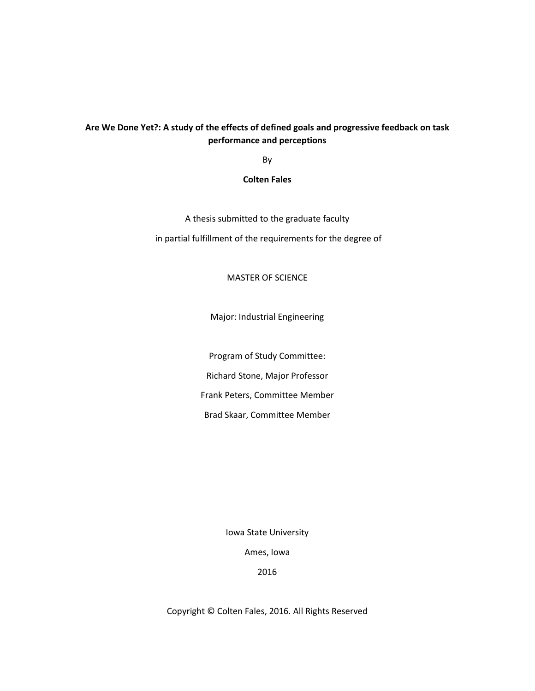## **Are We Done Yet?: A study of the effects of defined goals and progressive feedback on task performance and perceptions**

By

## **Colten Fales**

A thesis submitted to the graduate faculty in partial fulfillment of the requirements for the degree of

## MASTER OF SCIENCE

Major: Industrial Engineering

Program of Study Committee:

Richard Stone, Major Professor

Frank Peters, Committee Member

Brad Skaar, Committee Member

Iowa State University

Ames, Iowa

2016

Copyright © Colten Fales, 2016. All Rights Reserved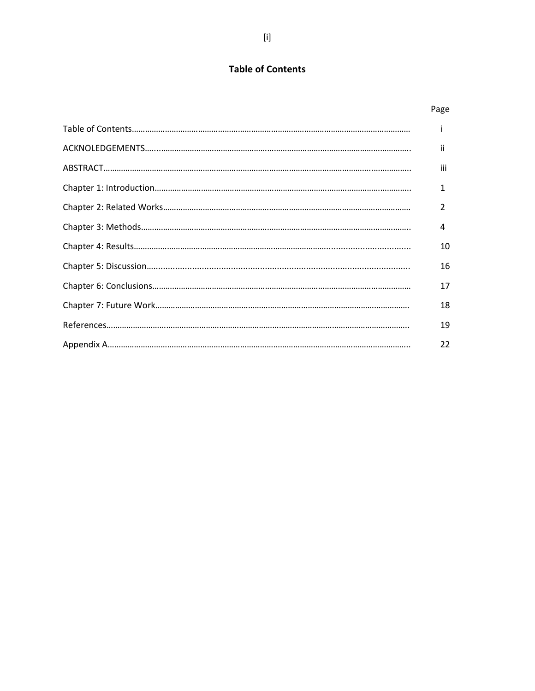# **Table of Contents**

| Page |
|------|
| i.   |
| Ϊİ   |
| iii  |
| 1    |
| 2    |
| 4    |
| 10   |
| 16   |
| 17   |
| 18   |
| 19   |
| 22   |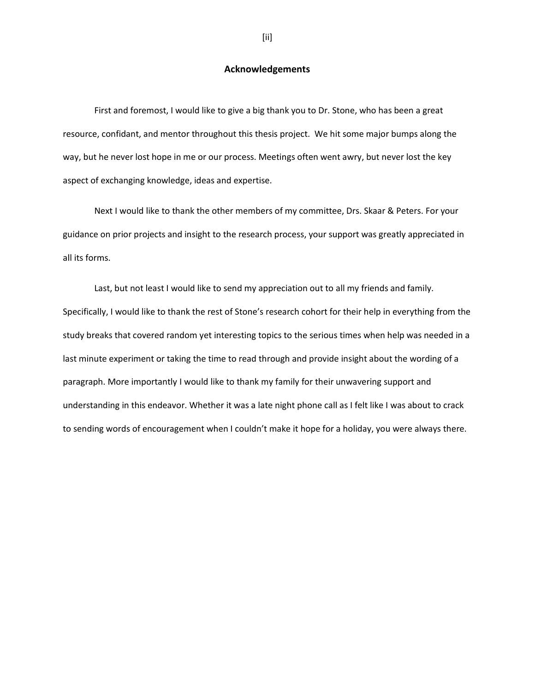## **Acknowledgements**

First and foremost, I would like to give a big thank you to Dr. Stone, who has been a great resource, confidant, and mentor throughout this thesis project. We hit some major bumps along the way, but he never lost hope in me or our process. Meetings often went awry, but never lost the key aspect of exchanging knowledge, ideas and expertise.

Next I would like to thank the other members of my committee, Drs. Skaar & Peters. For your guidance on prior projects and insight to the research process, your support was greatly appreciated in all its forms.

Last, but not least I would like to send my appreciation out to all my friends and family. Specifically, I would like to thank the rest of Stone's research cohort for their help in everything from the study breaks that covered random yet interesting topics to the serious times when help was needed in a last minute experiment or taking the time to read through and provide insight about the wording of a paragraph. More importantly I would like to thank my family for their unwavering support and understanding in this endeavor. Whether it was a late night phone call as I felt like I was about to crack to sending words of encouragement when I couldn't make it hope for a holiday, you were always there.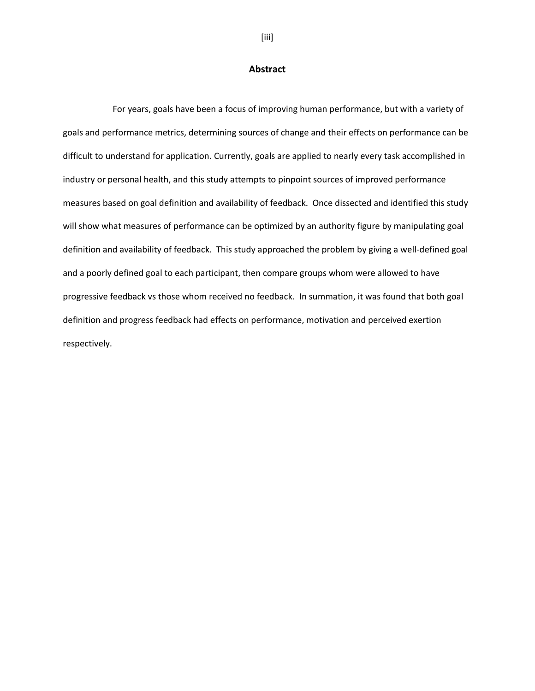### **Abstract**

For years, goals have been a focus of improving human performance, but with a variety of goals and performance metrics, determining sources of change and their effects on performance can be difficult to understand for application. Currently, goals are applied to nearly every task accomplished in industry or personal health, and this study attempts to pinpoint sources of improved performance measures based on goal definition and availability of feedback. Once dissected and identified this study will show what measures of performance can be optimized by an authority figure by manipulating goal definition and availability of feedback. This study approached the problem by giving a well-defined goal and a poorly defined goal to each participant, then compare groups whom were allowed to have progressive feedback vs those whom received no feedback. In summation, it was found that both goal definition and progress feedback had effects on performance, motivation and perceived exertion respectively.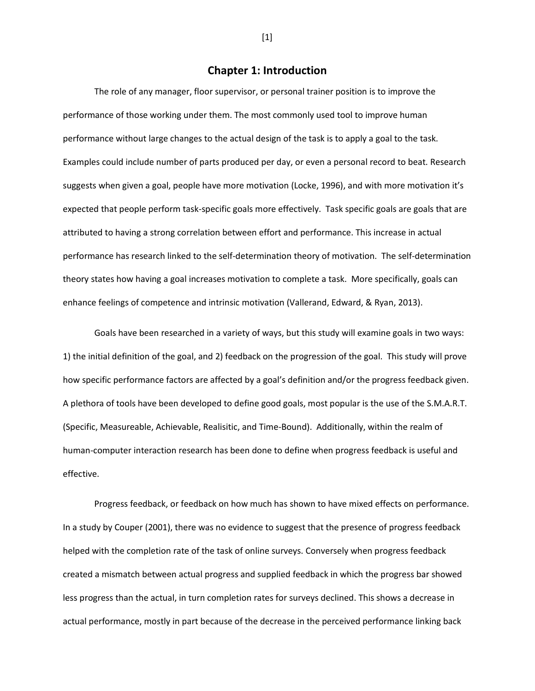## **Chapter 1: Introduction**

The role of any manager, floor supervisor, or personal trainer position is to improve the performance of those working under them. The most commonly used tool to improve human performance without large changes to the actual design of the task is to apply a goal to the task. Examples could include number of parts produced per day, or even a personal record to beat. Research suggests when given a goal, people have more motivation (Locke, 1996), and with more motivation it's expected that people perform task-specific goals more effectively. Task specific goals are goals that are attributed to having a strong correlation between effort and performance. This increase in actual performance has research linked to the self-determination theory of motivation. The self-determination theory states how having a goal increases motivation to complete a task. More specifically, goals can enhance feelings of competence and intrinsic motivation (Vallerand, Edward, & Ryan, 2013).

Goals have been researched in a variety of ways, but this study will examine goals in two ways: 1) the initial definition of the goal, and 2) feedback on the progression of the goal. This study will prove how specific performance factors are affected by a goal's definition and/or the progress feedback given. A plethora of tools have been developed to define good goals, most popular is the use of the S.M.A.R.T. (Specific, Measureable, Achievable, Realisitic, and Time-Bound). Additionally, within the realm of human-computer interaction research has been done to define when progress feedback is useful and effective.

Progress feedback, or feedback on how much has shown to have mixed effects on performance. In a study by Couper (2001), there was no evidence to suggest that the presence of progress feedback helped with the completion rate of the task of online surveys. Conversely when progress feedback created a mismatch between actual progress and supplied feedback in which the progress bar showed less progress than the actual, in turn completion rates for surveys declined. This shows a decrease in actual performance, mostly in part because of the decrease in the perceived performance linking back

[1]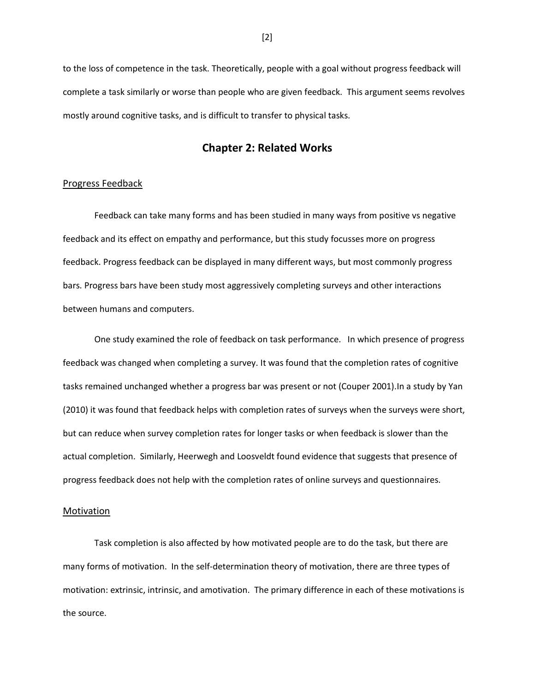to the loss of competence in the task. Theoretically, people with a goal without progress feedback will complete a task similarly or worse than people who are given feedback. This argument seems revolves mostly around cognitive tasks, and is difficult to transfer to physical tasks.

## **Chapter 2: Related Works**

### Progress Feedback

Feedback can take many forms and has been studied in many ways from positive vs negative feedback and its effect on empathy and performance, but this study focusses more on progress feedback. Progress feedback can be displayed in many different ways, but most commonly progress bars. Progress bars have been study most aggressively completing surveys and other interactions between humans and computers.

One study examined the role of feedback on task performance. In which presence of progress feedback was changed when completing a survey. It was found that the completion rates of cognitive tasks remained unchanged whether a progress bar was present or not (Couper 2001).In a study by Yan (2010) it was found that feedback helps with completion rates of surveys when the surveys were short, but can reduce when survey completion rates for longer tasks or when feedback is slower than the actual completion. Similarly, Heerwegh and Loosveldt found evidence that suggests that presence of progress feedback does not help with the completion rates of online surveys and questionnaires.

#### **Motivation**

Task completion is also affected by how motivated people are to do the task, but there are many forms of motivation. In the self-determination theory of motivation, there are three types of motivation: extrinsic, intrinsic, and amotivation. The primary difference in each of these motivations is the source.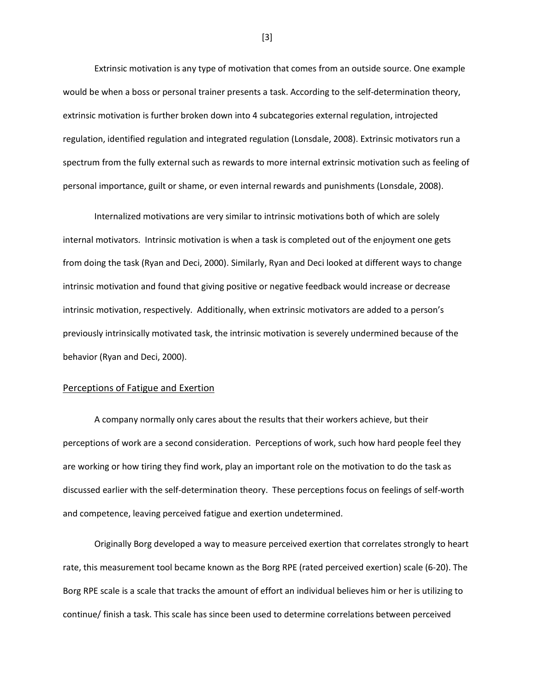Extrinsic motivation is any type of motivation that comes from an outside source. One example would be when a boss or personal trainer presents a task. According to the self-determination theory, extrinsic motivation is further broken down into 4 subcategories external regulation, introjected regulation, identified regulation and integrated regulation (Lonsdale, 2008). Extrinsic motivators run a spectrum from the fully external such as rewards to more internal extrinsic motivation such as feeling of personal importance, guilt or shame, or even internal rewards and punishments (Lonsdale, 2008).

Internalized motivations are very similar to intrinsic motivations both of which are solely internal motivators. Intrinsic motivation is when a task is completed out of the enjoyment one gets from doing the task (Ryan and Deci, 2000). Similarly, Ryan and Deci looked at different ways to change intrinsic motivation and found that giving positive or negative feedback would increase or decrease intrinsic motivation, respectively. Additionally, when extrinsic motivators are added to a person's previously intrinsically motivated task, the intrinsic motivation is severely undermined because of the behavior (Ryan and Deci, 2000).

### Perceptions of Fatigue and Exertion

A company normally only cares about the results that their workers achieve, but their perceptions of work are a second consideration. Perceptions of work, such how hard people feel they are working or how tiring they find work, play an important role on the motivation to do the task as discussed earlier with the self-determination theory. These perceptions focus on feelings of self-worth and competence, leaving perceived fatigue and exertion undetermined.

Originally Borg developed a way to measure perceived exertion that correlates strongly to heart rate, this measurement tool became known as the Borg RPE (rated perceived exertion) scale (6-20). The Borg RPE scale is a scale that tracks the amount of effort an individual believes him or her is utilizing to continue/ finish a task. This scale has since been used to determine correlations between perceived

[3]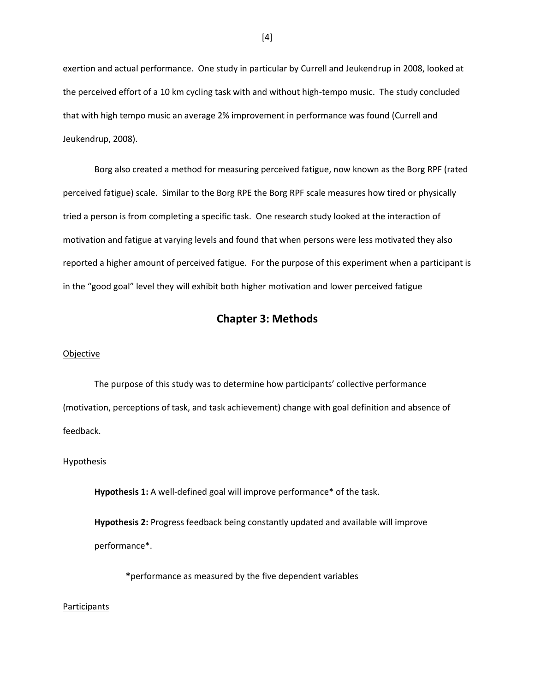exertion and actual performance. One study in particular by Currell and Jeukendrup in 2008, looked at the perceived effort of a 10 km cycling task with and without high-tempo music. The study concluded that with high tempo music an average 2% improvement in performance was found (Currell and Jeukendrup, 2008).

Borg also created a method for measuring perceived fatigue, now known as the Borg RPF (rated perceived fatigue) scale. Similar to the Borg RPE the Borg RPF scale measures how tired or physically tried a person is from completing a specific task. One research study looked at the interaction of motivation and fatigue at varying levels and found that when persons were less motivated they also reported a higher amount of perceived fatigue. For the purpose of this experiment when a participant is in the "good goal" level they will exhibit both higher motivation and lower perceived fatigue

## **Chapter 3: Methods**

#### Objective

The purpose of this study was to determine how participants' collective performance (motivation, perceptions of task, and task achievement) change with goal definition and absence of feedback.

### Hypothesis

**Hypothesis 1:** A well-defined goal will improve performance\* of the task.

**Hypothesis 2:** Progress feedback being constantly updated and available will improve performance\*.

**\***performance as measured by the five dependent variables

### Participants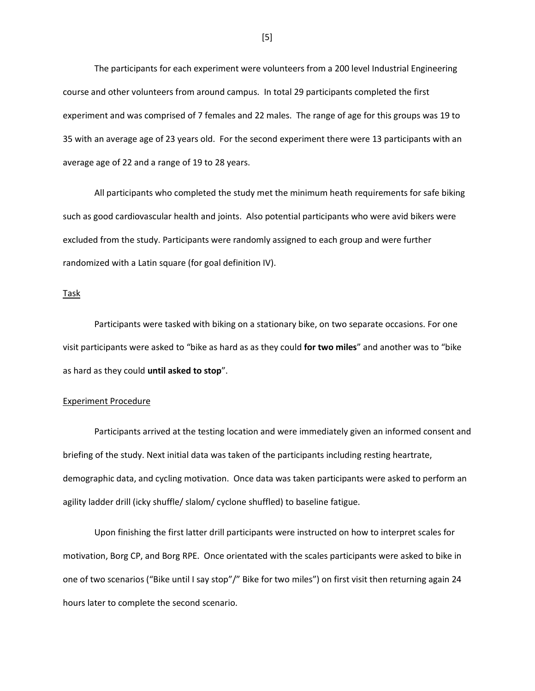The participants for each experiment were volunteers from a 200 level Industrial Engineering course and other volunteers from around campus. In total 29 participants completed the first experiment and was comprised of 7 females and 22 males. The range of age for this groups was 19 to 35 with an average age of 23 years old. For the second experiment there were 13 participants with an average age of 22 and a range of 19 to 28 years.

All participants who completed the study met the minimum heath requirements for safe biking such as good cardiovascular health and joints. Also potential participants who were avid bikers were excluded from the study. Participants were randomly assigned to each group and were further randomized with a Latin square (for goal definition IV).

Task

Participants were tasked with biking on a stationary bike, on two separate occasions. For one visit participants were asked to "bike as hard as as they could **for two miles**" and another was to "bike as hard as they could **until asked to stop**".

#### Experiment Procedure

Participants arrived at the testing location and were immediately given an informed consent and briefing of the study. Next initial data was taken of the participants including resting heartrate, demographic data, and cycling motivation. Once data was taken participants were asked to perform an agility ladder drill (icky shuffle/ slalom/ cyclone shuffled) to baseline fatigue.

Upon finishing the first latter drill participants were instructed on how to interpret scales for motivation, Borg CP, and Borg RPE. Once orientated with the scales participants were asked to bike in one of two scenarios ("Bike until I say stop"/" Bike for two miles") on first visit then returning again 24 hours later to complete the second scenario.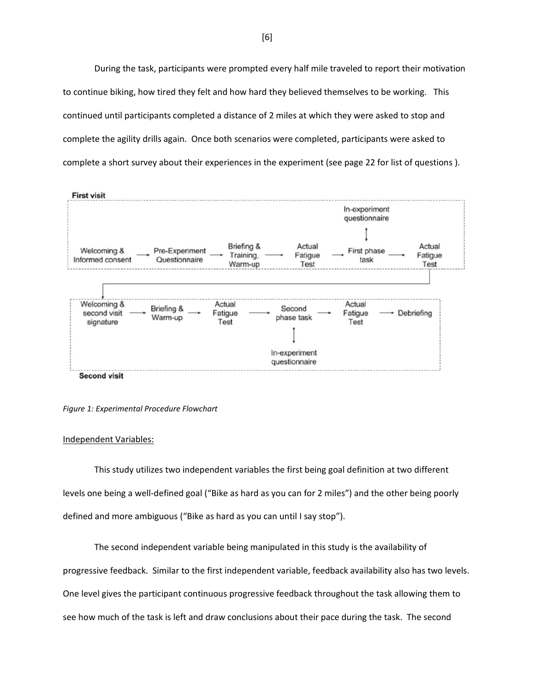During the task, participants were prompted every half mile traveled to report their motivation to continue biking, how tired they felt and how hard they believed themselves to be working. This continued until participants completed a distance of 2 miles at which they were asked to stop and complete the agility drills again. Once both scenarios were completed, participants were asked to complete a short survey about their experiences in the experiment (see page 22 for list of questions ).





#### Independent Variables:

This study utilizes two independent variables the first being goal definition at two different levels one being a well-defined goal ("Bike as hard as you can for 2 miles") and the other being poorly defined and more ambiguous ("Bike as hard as you can until I say stop").

The second independent variable being manipulated in this study is the availability of progressive feedback. Similar to the first independent variable, feedback availability also has two levels. One level gives the participant continuous progressive feedback throughout the task allowing them to see how much of the task is left and draw conclusions about their pace during the task. The second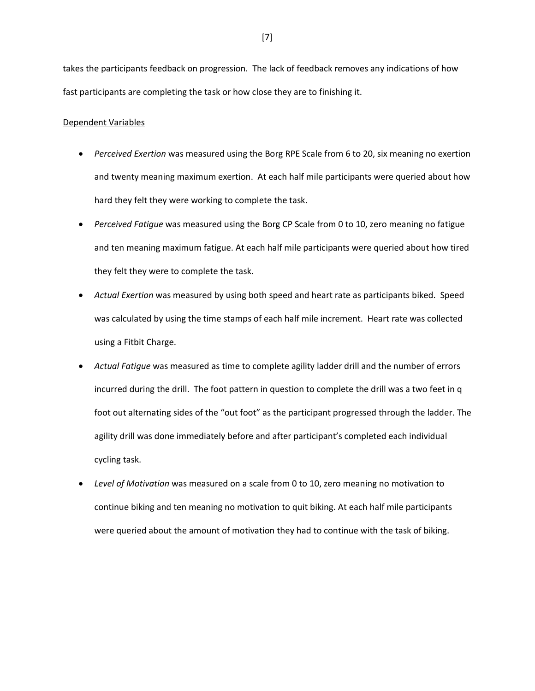takes the participants feedback on progression. The lack of feedback removes any indications of how fast participants are completing the task or how close they are to finishing it.

### Dependent Variables

- *Perceived Exertion* was measured using the Borg RPE Scale from 6 to 20, six meaning no exertion and twenty meaning maximum exertion. At each half mile participants were queried about how hard they felt they were working to complete the task.
- *Perceived Fatigue* was measured using the Borg CP Scale from 0 to 10, zero meaning no fatigue and ten meaning maximum fatigue. At each half mile participants were queried about how tired they felt they were to complete the task.
- *Actual Exertion* was measured by using both speed and heart rate as participants biked. Speed was calculated by using the time stamps of each half mile increment. Heart rate was collected using a Fitbit Charge.
- *Actual Fatigue* was measured as time to complete agility ladder drill and the number of errors incurred during the drill. The foot pattern in question to complete the drill was a two feet in q foot out alternating sides of the "out foot" as the participant progressed through the ladder. The agility drill was done immediately before and after participant's completed each individual cycling task.
- *Level of Motivation* was measured on a scale from 0 to 10, zero meaning no motivation to continue biking and ten meaning no motivation to quit biking. At each half mile participants were queried about the amount of motivation they had to continue with the task of biking.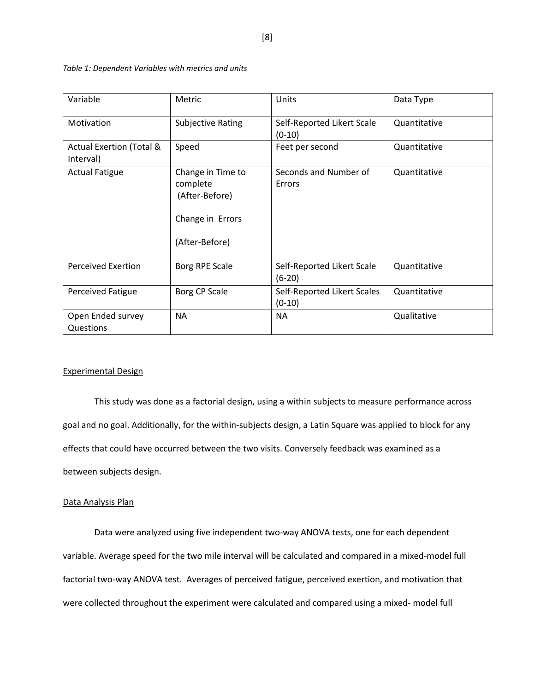| Variable                                         | Metric                                                                                | Units                                   | Data Type    |
|--------------------------------------------------|---------------------------------------------------------------------------------------|-----------------------------------------|--------------|
| Motivation                                       | <b>Subjective Rating</b>                                                              | Self-Reported Likert Scale<br>$(0-10)$  | Quantitative |
| <b>Actual Exertion (Total &amp;</b><br>Interval) | Speed                                                                                 | Feet per second                         | Quantitative |
| <b>Actual Fatigue</b>                            | Change in Time to<br>complete<br>(After-Before)<br>Change in Errors<br>(After-Before) | Seconds and Number of<br>Errors         | Quantitative |
| <b>Perceived Exertion</b>                        | Borg RPE Scale                                                                        | Self-Reported Likert Scale<br>$(6-20)$  | Quantitative |
| <b>Perceived Fatigue</b>                         | Borg CP Scale                                                                         | Self-Reported Likert Scales<br>$(0-10)$ | Quantitative |
| Open Ended survey<br>Questions                   | <b>NA</b>                                                                             | <b>NA</b>                               | Qualitative  |

*Table 1: Dependent Variables with metrics and units* 

### Experimental Design

This study was done as a factorial design, using a within subjects to measure performance across goal and no goal. Additionally, for the within-subjects design, a Latin Square was applied to block for any effects that could have occurred between the two visits. Conversely feedback was examined as a between subjects design.

### Data Analysis Plan

Data were analyzed using five independent two-way ANOVA tests, one for each dependent variable. Average speed for the two mile interval will be calculated and compared in a mixed-model full factorial two-way ANOVA test. Averages of perceived fatigue, perceived exertion, and motivation that were collected throughout the experiment were calculated and compared using a mixed- model full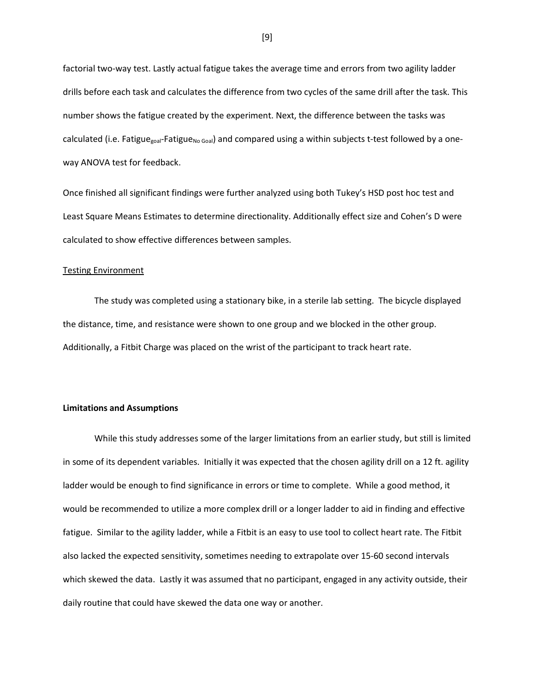factorial two-way test. Lastly actual fatigue takes the average time and errors from two agility ladder drills before each task and calculates the difference from two cycles of the same drill after the task. This number shows the fatigue created by the experiment. Next, the difference between the tasks was calculated (i.e. Fatigue<sub>goal</sub>-Fatigue<sub>No Goal</sub>) and compared using a within subjects t-test followed by a oneway ANOVA test for feedback.

Once finished all significant findings were further analyzed using both Tukey's HSD post hoc test and Least Square Means Estimates to determine directionality. Additionally effect size and Cohen's D were calculated to show effective differences between samples.

### Testing Environment

The study was completed using a stationary bike, in a sterile lab setting. The bicycle displayed the distance, time, and resistance were shown to one group and we blocked in the other group. Additionally, a Fitbit Charge was placed on the wrist of the participant to track heart rate.

### **Limitations and Assumptions**

While this study addresses some of the larger limitations from an earlier study, but still is limited in some of its dependent variables. Initially it was expected that the chosen agility drill on a 12 ft. agility ladder would be enough to find significance in errors or time to complete. While a good method, it would be recommended to utilize a more complex drill or a longer ladder to aid in finding and effective fatigue. Similar to the agility ladder, while a Fitbit is an easy to use tool to collect heart rate. The Fitbit also lacked the expected sensitivity, sometimes needing to extrapolate over 15-60 second intervals which skewed the data. Lastly it was assumed that no participant, engaged in any activity outside, their daily routine that could have skewed the data one way or another.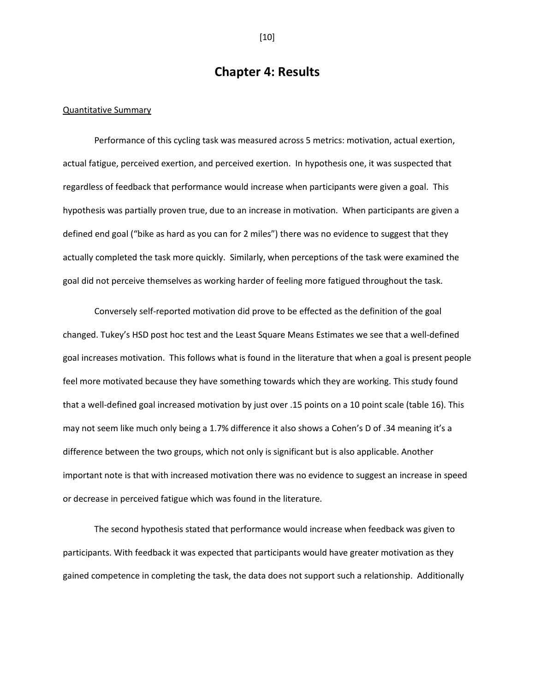# **Chapter 4: Results**

#### Quantitative Summary

Performance of this cycling task was measured across 5 metrics: motivation, actual exertion, actual fatigue, perceived exertion, and perceived exertion. In hypothesis one, it was suspected that regardless of feedback that performance would increase when participants were given a goal. This hypothesis was partially proven true, due to an increase in motivation. When participants are given a defined end goal ("bike as hard as you can for 2 miles") there was no evidence to suggest that they actually completed the task more quickly. Similarly, when perceptions of the task were examined the goal did not perceive themselves as working harder of feeling more fatigued throughout the task.

Conversely self-reported motivation did prove to be effected as the definition of the goal changed. Tukey's HSD post hoc test and the Least Square Means Estimates we see that a well-defined goal increases motivation. This follows what is found in the literature that when a goal is present people feel more motivated because they have something towards which they are working. This study found that a well-defined goal increased motivation by just over .15 points on a 10 point scale (table 16). This may not seem like much only being a 1.7% difference it also shows a Cohen's D of .34 meaning it's a difference between the two groups, which not only is significant but is also applicable. Another important note is that with increased motivation there was no evidence to suggest an increase in speed or decrease in perceived fatigue which was found in the literature.

The second hypothesis stated that performance would increase when feedback was given to participants. With feedback it was expected that participants would have greater motivation as they gained competence in completing the task, the data does not support such a relationship. Additionally

[10]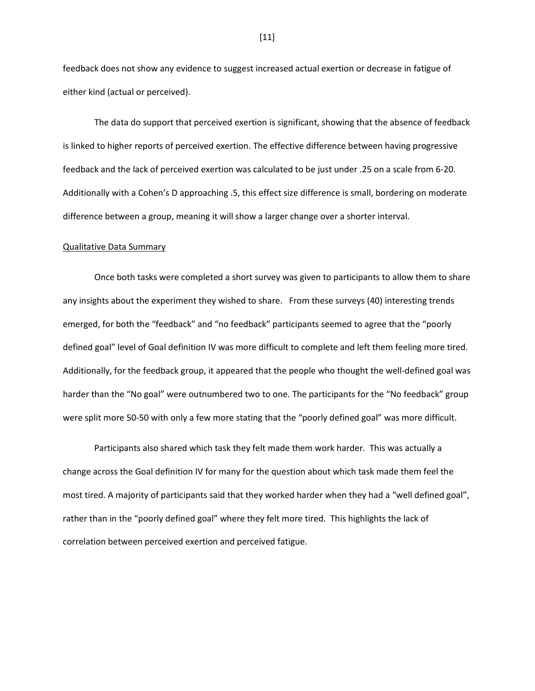feedback does not show any evidence to suggest increased actual exertion or decrease in fatigue of either kind (actual or perceived).

The data do support that perceived exertion is significant, showing that the absence of feedback is linked to higher reports of perceived exertion. The effective difference between having progressive feedback and the lack of perceived exertion was calculated to be just under .25 on a scale from 6-20. Additionally with a Cohen's D approaching .5, this effect size difference is small, bordering on moderate difference between a group, meaning it will show a larger change over a shorter interval.

#### Qualitative Data Summary

Once both tasks were completed a short survey was given to participants to allow them to share any insights about the experiment they wished to share. From these surveys (40) interesting trends emerged, for both the "feedback" and "no feedback" participants seemed to agree that the "poorly defined goal" level of Goal definition IV was more difficult to complete and left them feeling more tired. Additionally, for the feedback group, it appeared that the people who thought the well-defined goal was harder than the "No goal" were outnumbered two to one. The participants for the "No feedback" group were split more 50-50 with only a few more stating that the "poorly defined goal" was more difficult.

Participants also shared which task they felt made them work harder. This was actually a change across the Goal definition IV for many for the question about which task made them feel the most tired. A majority of participants said that they worked harder when they had a "well defined goal", rather than in the "poorly defined goal" where they felt more tired. This highlights the lack of correlation between perceived exertion and perceived fatigue.

[11]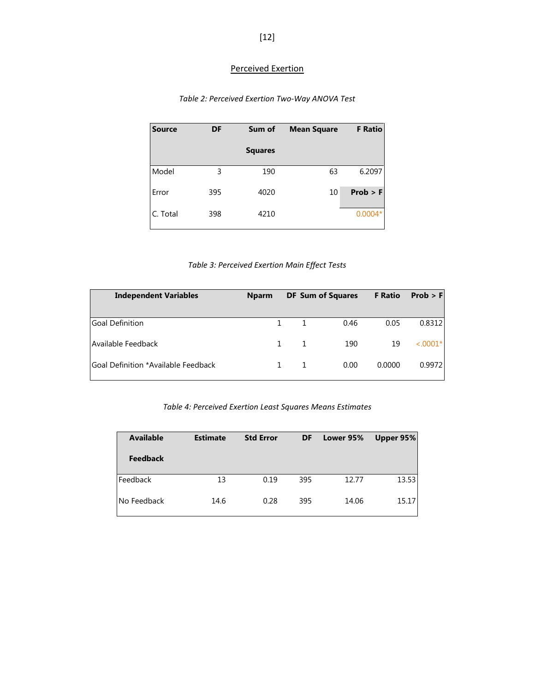# Perceived Exertion

# *Table 2: Perceived Exertion Two-Way ANOVA Test*

| <b>Source</b> | DF  | Sum of         | <b>Mean Square</b> | <b>F</b> Ratio |
|---------------|-----|----------------|--------------------|----------------|
|               |     | <b>Squares</b> |                    |                |
| Model         | 3   | 190            | 63                 | 6.2097         |
| Error         | 395 | 4020           | 10                 | Prob > F       |
| C. Total      | 398 | 4210           |                    | $0.0004*$      |

# *Table 3: Perceived Exertion Main Effect Tests*

| <b>Independent Variables</b>        | <b>Nparm</b> | <b>DF Sum of Squares</b> | <b>F</b> Ratio | Prob > F    |
|-------------------------------------|--------------|--------------------------|----------------|-------------|
| <b>Goal Definition</b>              |              | 0.46                     | 0.05           | 0.8312      |
| Available Feedback                  | 1.           | 190                      | 19             | $< 0.0001*$ |
| Goal Definition *Available Feedback |              | 0.00                     | 0.0000         | 0.9972      |

# *Table 4: Perceived Exertion Least Squares Means Estimates*

| <b>Available</b> | <b>Estimate</b> | <b>Std Error</b> | DF  | Lower 95% | Upper 95% |
|------------------|-----------------|------------------|-----|-----------|-----------|
| <b>Feedback</b>  |                 |                  |     |           |           |
| l Feedback       | 13              | 0.19             | 395 | 12.77     | 13.53     |
| l No Feedback    | 14.6            | 0.28             | 395 | 14.06     | 15.17     |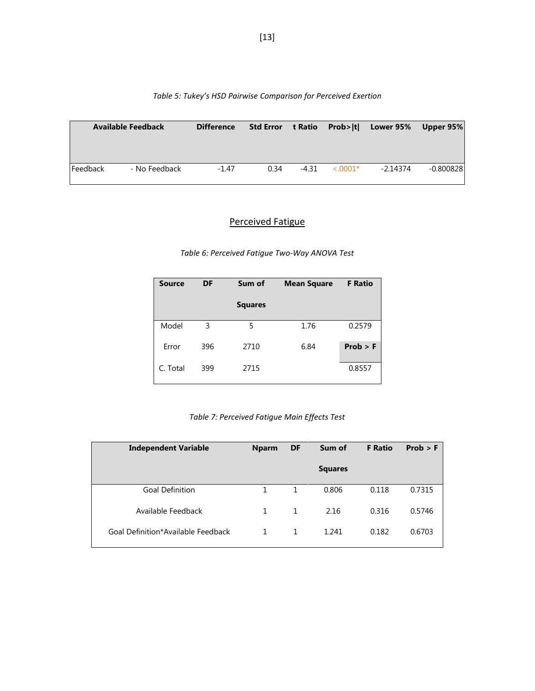|          | <b>Available Feedback</b> | <b>Difference</b> |      |         |               | Std Error t Ratio Prob> t  Lower 95% | Upper 95%   |
|----------|---------------------------|-------------------|------|---------|---------------|--------------------------------------|-------------|
| Feedback | - No Feedback             | $-1.47$           | 0.34 | $-4.31$ | $\leq 0.001*$ | -2.14374                             | $-0.800828$ |

## *Table 5: Tukey's HSD Pairwise Comparison for Perceived Exertion*

# Perceived Fatigue

*Table 6: Perceived Fatigue Two-Way ANOVA Test*

| <b>Source</b> | <b>DF</b> | Sum of         | <b>Mean Square</b> | <b>F</b> Ratio |
|---------------|-----------|----------------|--------------------|----------------|
|               |           | <b>Squares</b> |                    |                |
| Model         | 3         | 5              | 1.76               | 0.2579         |
| Error         | 396       | 2710           | 6.84               | Prob > F       |
| C. Total      | 399       | 2715           |                    | 0.8557         |

## *Table 7: Perceived Fatigue Main Effects Test*

| <b>Independent Variable</b>        | <b>Nparm</b> | DF | Sum of         | <b>F</b> Ratio | Prob > F |
|------------------------------------|--------------|----|----------------|----------------|----------|
|                                    |              |    | <b>Squares</b> |                |          |
| <b>Goal Definition</b>             |              | 1  | 0.806          | 0.118          | 0.7315   |
| Available Feedback                 |              | 1  | 2.16           | 0.316          | 0.5746   |
| Goal Definition*Available Feedback |              | 1  | 1.241          | 0.182          | 0.6703   |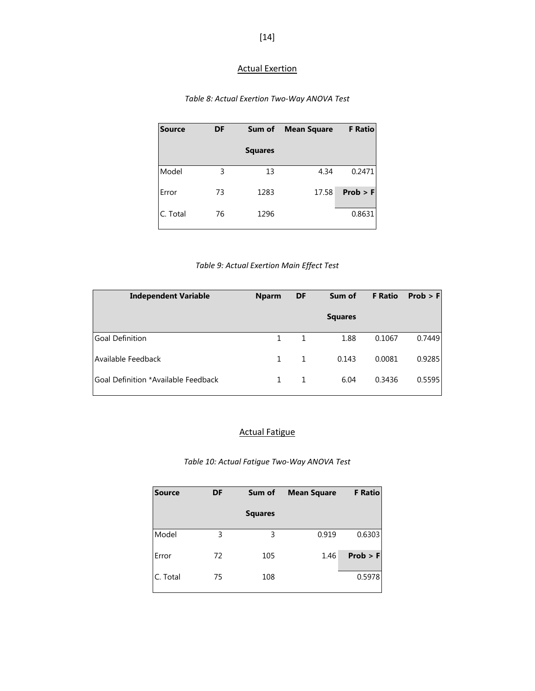# Actual Exertion

# *Table 8: Actual Exertion Two-Way ANOVA Test*

| Source   | DF | Sum of         | <b>Mean Square</b> | <b>F</b> Ratio |
|----------|----|----------------|--------------------|----------------|
|          |    | <b>Squares</b> |                    |                |
| Model    | 3  | 13             | 4.34               | 0.2471         |
| Error    | 73 | 1283           | 17.58              | Prob > F       |
| C. Total | 76 | 1296           |                    | 0.8631         |

# *Table 9: Actual Exertion Main Effect Test*

| <b>Independent Variable</b>         | <b>Nparm</b> | DF | Sum of         | <b>F</b> Ratio | Prob > F |
|-------------------------------------|--------------|----|----------------|----------------|----------|
|                                     |              |    | <b>Squares</b> |                |          |
| <b>Goal Definition</b>              |              |    | 1.88           | 0.1067         | 0.7449   |
| Available Feedback                  | 1            | 1  | 0.143          | 0.0081         | 0.9285   |
| Goal Definition *Available Feedback |              |    | 6.04           | 0.3436         | 0.5595   |

# Actual Fatigue

## *Table 10: Actual Fatigue Two-Way ANOVA Test*

| <b>Source</b> | <b>DF</b> | Sum of         | <b>Mean Square</b> | <b>F</b> Ratio |
|---------------|-----------|----------------|--------------------|----------------|
|               |           | <b>Squares</b> |                    |                |
| Model         | 3         | 3              | 0.919              | 0.6303         |
| Error         | 72        | 105            | 1.46               | Prob > F       |
| C. Total      | 75        | 108            |                    | 0.5978         |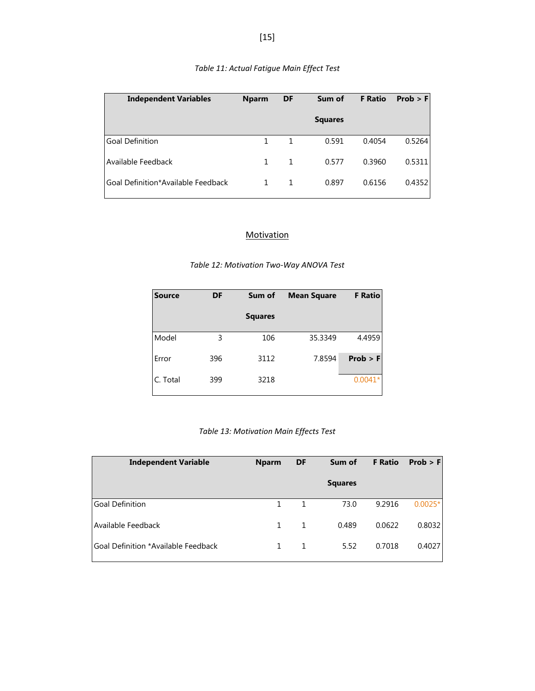| <b>Independent Variables</b>         | <b>Nparm</b> | DF           | Sum of         | <b>F</b> Ratio | Prob > F |
|--------------------------------------|--------------|--------------|----------------|----------------|----------|
|                                      |              |              | <b>Squares</b> |                |          |
| l Goal Definition                    | 1            | $\mathbf{1}$ | 0.591          | 0.4054         | 0.5264   |
| LAvailable Feedback                  | 1            | 1            | 0.577          | 0.3960         | 0.5311   |
| l Goal Definition*Available Feedback |              |              | 0.897          | 0.6156         | 0.4352   |

# *Table 11: Actual Fatigue Main Effect Test*

## **Motivation**

| <b>Source</b> | DF  | Sum of         | <b>Mean Square</b> | <b>F</b> Ratio |
|---------------|-----|----------------|--------------------|----------------|
|               |     | <b>Squares</b> |                    |                |
| Model         | 3   | 106            | 35.3349            | 4.4959         |
| Error         | 396 | 3112           | 7.8594             | Prob > F       |
| C. Total      | 399 | 3218           |                    | $0.0041*$      |

## *Table 13: Motivation Main Effects Test*

| <b>Independent Variable</b>         | <b>Nparm</b> | DF | Sum of         | <b>F</b> Ratio | Prob > F  |
|-------------------------------------|--------------|----|----------------|----------------|-----------|
|                                     |              |    | <b>Squares</b> |                |           |
| <b>Goal Definition</b>              |              | 1  | 73.0           | 9.2916         | $0.0025*$ |
| Available Feedback                  | $\mathbf{1}$ | 1  | 0.489          | 0.0622         | 0.8032    |
| Goal Definition *Available Feedback |              |    | 5.52           | 0.7018         | 0.4027    |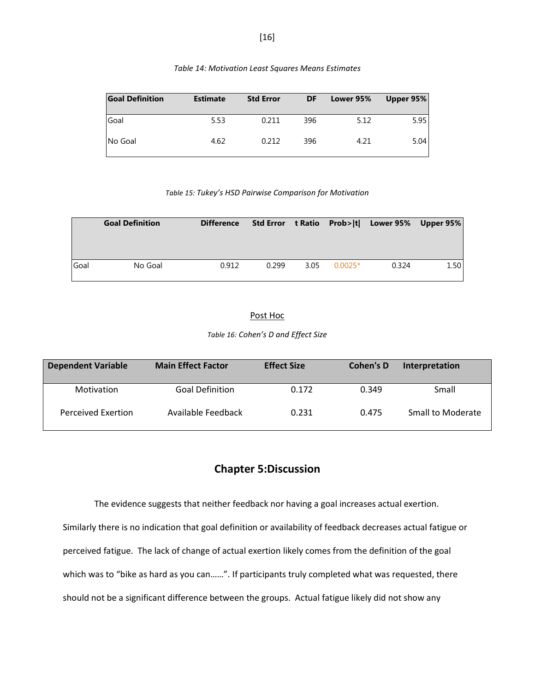| <b>Goal Definition</b> | <b>Estimate</b> | <b>Std Error</b> | <b>DF</b> | Lower 95% | Upper 95% |
|------------------------|-----------------|------------------|-----------|-----------|-----------|
| Goal                   | 5.53            | 0.211            | 396       | 5.12      | 5.95      |
| No Goal                | 4.62            | 0.212            | 396       | 4.21      | 5.04      |

| Table 14: Motivation Least Squares Means Estimates |  |
|----------------------------------------------------|--|
|----------------------------------------------------|--|

*Table 15: Tukey's HSD Pairwise Comparison for Motivation*

|      | <b>Goal Definition</b> | <b>Difference</b> |       |      |           | Std Error t Ratio Prob> t  Lower 95% Upper 95% |      |
|------|------------------------|-------------------|-------|------|-----------|------------------------------------------------|------|
| Goal | No Goal                | 0.912             | 0.299 | 3.05 | $0.0025*$ | 0.324                                          | 1.50 |

### Post Hoc

*Table 16: Cohen's D and Effect Size*

| <b>Dependent Variable</b> | <b>Main Effect Factor</b> | <b>Effect Size</b> | Cohen's D | Interpretation    |
|---------------------------|---------------------------|--------------------|-----------|-------------------|
| Motivation                | <b>Goal Definition</b>    | 0.172              | 0.349     | Small             |
| Perceived Exertion        | Available Feedback        | 0.231              | 0.475     | Small to Moderate |

# **Chapter 5:Discussion**

The evidence suggests that neither feedback nor having a goal increases actual exertion.

Similarly there is no indication that goal definition or availability of feedback decreases actual fatigue or perceived fatigue. The lack of change of actual exertion likely comes from the definition of the goal which was to "bike as hard as you can......". If participants truly completed what was requested, there should not be a significant difference between the groups. Actual fatigue likely did not show any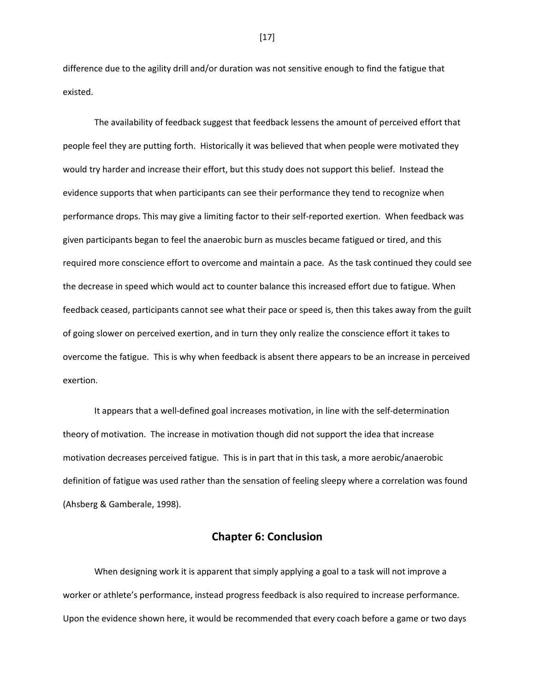difference due to the agility drill and/or duration was not sensitive enough to find the fatigue that existed.

The availability of feedback suggest that feedback lessens the amount of perceived effort that people feel they are putting forth. Historically it was believed that when people were motivated they would try harder and increase their effort, but this study does not support this belief. Instead the evidence supports that when participants can see their performance they tend to recognize when performance drops. This may give a limiting factor to their self-reported exertion. When feedback was given participants began to feel the anaerobic burn as muscles became fatigued or tired, and this required more conscience effort to overcome and maintain a pace. As the task continued they could see the decrease in speed which would act to counter balance this increased effort due to fatigue. When feedback ceased, participants cannot see what their pace or speed is, then this takes away from the guilt of going slower on perceived exertion, and in turn they only realize the conscience effort it takes to overcome the fatigue. This is why when feedback is absent there appears to be an increase in perceived exertion.

It appears that a well-defined goal increases motivation, in line with the self-determination theory of motivation. The increase in motivation though did not support the idea that increase motivation decreases perceived fatigue. This is in part that in this task, a more aerobic/anaerobic definition of fatigue was used rather than the sensation of feeling sleepy where a correlation was found (Ahsberg & Gamberale, 1998).

## **Chapter 6: Conclusion**

When designing work it is apparent that simply applying a goal to a task will not improve a worker or athlete's performance, instead progress feedback is also required to increase performance. Upon the evidence shown here, it would be recommended that every coach before a game or two days

[17]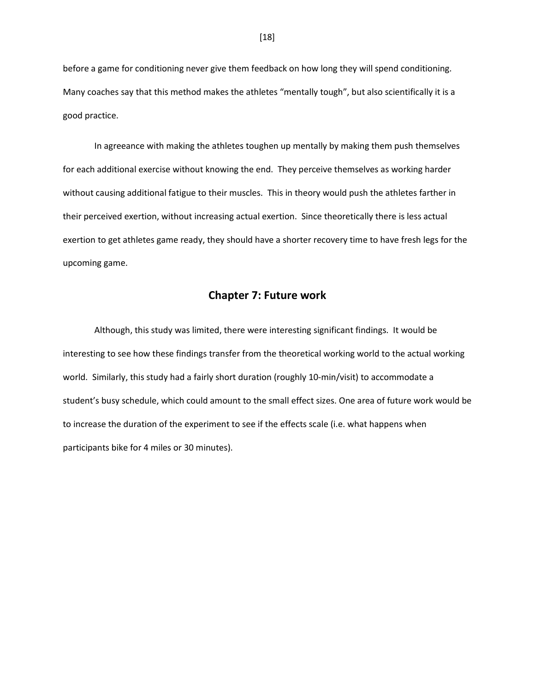before a game for conditioning never give them feedback on how long they will spend conditioning. Many coaches say that this method makes the athletes "mentally tough", but also scientifically it is a good practice.

In agreeance with making the athletes toughen up mentally by making them push themselves for each additional exercise without knowing the end. They perceive themselves as working harder without causing additional fatigue to their muscles. This in theory would push the athletes farther in their perceived exertion, without increasing actual exertion. Since theoretically there is less actual exertion to get athletes game ready, they should have a shorter recovery time to have fresh legs for the upcoming game.

## **Chapter 7: Future work**

Although, this study was limited, there were interesting significant findings. It would be interesting to see how these findings transfer from the theoretical working world to the actual working world. Similarly, this study had a fairly short duration (roughly 10-min/visit) to accommodate a student's busy schedule, which could amount to the small effect sizes. One area of future work would be to increase the duration of the experiment to see if the effects scale (i.e. what happens when participants bike for 4 miles or 30 minutes).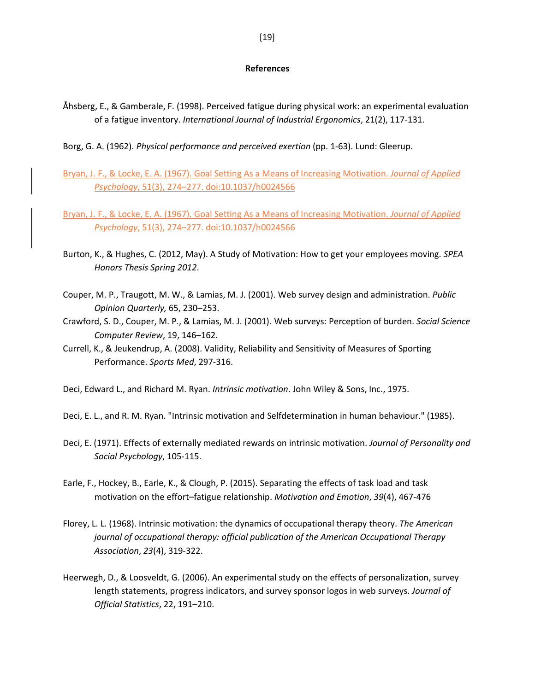#### **References**

- Åhsberg, E., & Gamberale, F. (1998). Perceived fatigue during physical work: an experimental evaluation of a fatigue inventory. *International Journal of Industrial Ergonomics*, 21(2), 117-131.
- Borg, G. A. (1962). *Physical performance and perceived exertion* (pp. 1-63). Lund: Gleerup.
- Bryan, J. F., & Locke, E. A. (1967). Goal Setting As a Means of Increasing Motivation. *Journal of Applied Psychology*, 51(3), 274–277. doi:10.1037/h0024566
- Bryan, J. F., & Locke, E. A. (1967). Goal Setting As a Means of Increasing Motivation. *Journal of Applied Psychology*, 51(3), 274–277. doi:10.1037/h0024566
- Burton, K., & Hughes, C. (2012, May). A Study of Motivation: How to get your employees moving. *SPEA Honors Thesis Spring 2012*.
- Couper, M. P., Traugott, M. W., & Lamias, M. J. (2001). Web survey design and administration. *Public Opinion Quarterly,* 65, 230–253.
- Crawford, S. D., Couper, M. P., & Lamias, M. J. (2001). Web surveys: Perception of burden. *Social Science Computer Review*, 19, 146–162.
- Currell, K., & Jeukendrup, A. (2008). Validity, Reliability and Sensitivity of Measures of Sporting Performance. *Sports Med*, 297-316.

Deci, Edward L., and Richard M. Ryan. *Intrinsic motivation*. John Wiley & Sons, Inc., 1975.

Deci, E. L., and R. M. Ryan. "Intrinsic motivation and Selfdetermination in human behaviour." (1985).

- Deci, E. (1971). Effects of externally mediated rewards on intrinsic motivation. *Journal of Personality and Social Psychology*, 105-115.
- Earle, F., Hockey, B., Earle, K., & Clough, P. (2015). Separating the effects of task load and task motivation on the effort–fatigue relationship. *Motivation and Emotion*, *39*(4), 467-476
- Florey, L. L. (1968). Intrinsic motivation: the dynamics of occupational therapy theory. *The American journal of occupational therapy: official publication of the American Occupational Therapy Association*, *23*(4), 319-322.
- Heerwegh, D., & Loosveldt, G. (2006). An experimental study on the effects of personalization, survey length statements, progress indicators, and survey sponsor logos in web surveys. *Journal of Official Statistics*, 22, 191–210.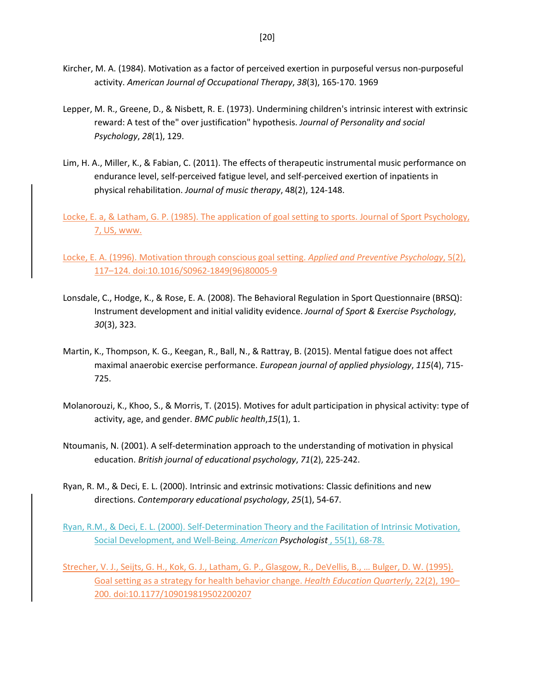- Kircher, M. A. (1984). Motivation as a factor of perceived exertion in purposeful versus non-purposeful activity. *American Journal of Occupational Therapy*, *38*(3), 165-170. 1969
- Lepper, M. R., Greene, D., & Nisbett, R. E. (1973). Undermining children's intrinsic interest with extrinsic reward: A test of the" over justification" hypothesis. *Journal of Personality and social Psychology*, *28*(1), 129.
- Lim, H. A., Miller, K., & Fabian, C. (2011). The effects of therapeutic instrumental music performance on endurance level, self-perceived fatigue level, and self-perceived exertion of inpatients in physical rehabilitation. *Journal of music therapy*, 48(2), 124-148.

Locke, E. a, & Latham, G. P. (1985). The application of goal setting to sports. Journal of Sport Psychology, 7, US, www.

Locke, E. A. (1996). Motivation through conscious goal setting. *Applied and Preventive Psychology*, 5(2), 117–124. doi:10.1016/S0962-1849(96)80005-9

- Lonsdale, C., Hodge, K., & Rose, E. A. (2008). The Behavioral Regulation in Sport Questionnaire (BRSQ): Instrument development and initial validity evidence. *Journal of Sport & Exercise Psychology*, *30*(3), 323.
- Martin, K., Thompson, K. G., Keegan, R., Ball, N., & Rattray, B. (2015). Mental fatigue does not affect maximal anaerobic exercise performance. *European journal of applied physiology*, *115*(4), 715- 725.
- Molanorouzi, K., Khoo, S., & Morris, T. (2015). Motives for adult participation in physical activity: type of activity, age, and gender. *BMC public health*,*15*(1), 1.
- Ntoumanis, N. (2001). A self-determination approach to the understanding of motivation in physical education. *British journal of educational psychology*, *71*(2), 225-242.
- Ryan, R. M., & Deci, E. L. (2000). Intrinsic and extrinsic motivations: Classic definitions and new directions. *Contemporary educational psychology*, *25*(1), 54-67.

Ryan, R.M., & Deci, E. L. (2000). Self-Determination Theory and the Facilitation of Intrinsic Motivation, Social Development, and Well-Being. *American Psychologist* , 55(1), 68-78.

Strecher, V. J., Seijts, G. H., Kok, G. J., Latham, G. P., Glasgow, R., DeVellis, B., … Bulger, D. W. (1995). Goal setting as a strategy for health behavior change. *Health Education Quarterly*, 22(2), 190– 200. doi:10.1177/109019819502200207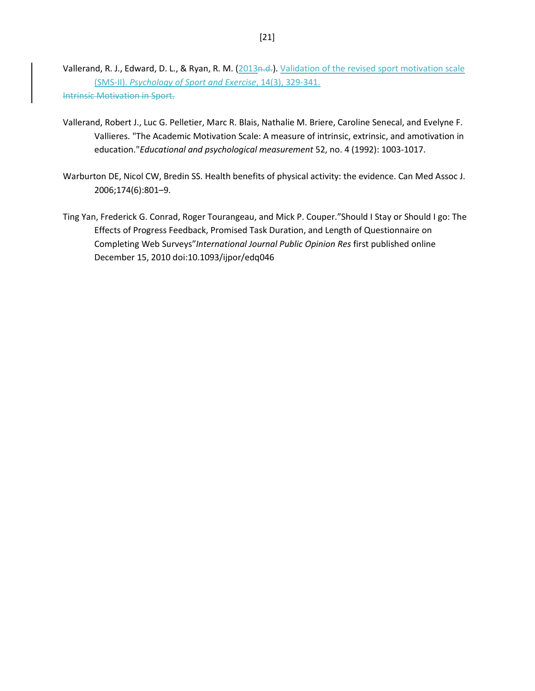Vallerand, R. J., Edward, D. L., & Ryan, R. M. (2013n.d.). Validation of the revised sport motivation scale (SMS-II). *Psychology of Sport and Exercise*, 14(3), 329-341. Intrinsic Motivation in Sport.

- Vallerand, Robert J., Luc G. Pelletier, Marc R. Blais, Nathalie M. Briere, Caroline Senecal, and Evelyne F. Vallieres. "The Academic Motivation Scale: A measure of intrinsic, extrinsic, and amotivation in education."*Educational and psychological measurement* 52, no. 4 (1992): 1003-1017.
- Warburton DE, Nicol CW, Bredin SS. Health benefits of physical activity: the evidence. Can Med Assoc J. 2006;174(6):801–9.
- Ting Yan, Frederick G. Conrad, Roger Tourangeau, and Mick P. Couper."Should I Stay or Should I go: The Effects of Progress Feedback, Promised Task Duration, and Length of Questionnaire on Completing Web Surveys"*International Journal Public Opinion Res* first published online December 15, 2010 doi:10.1093/ijpor/edq046